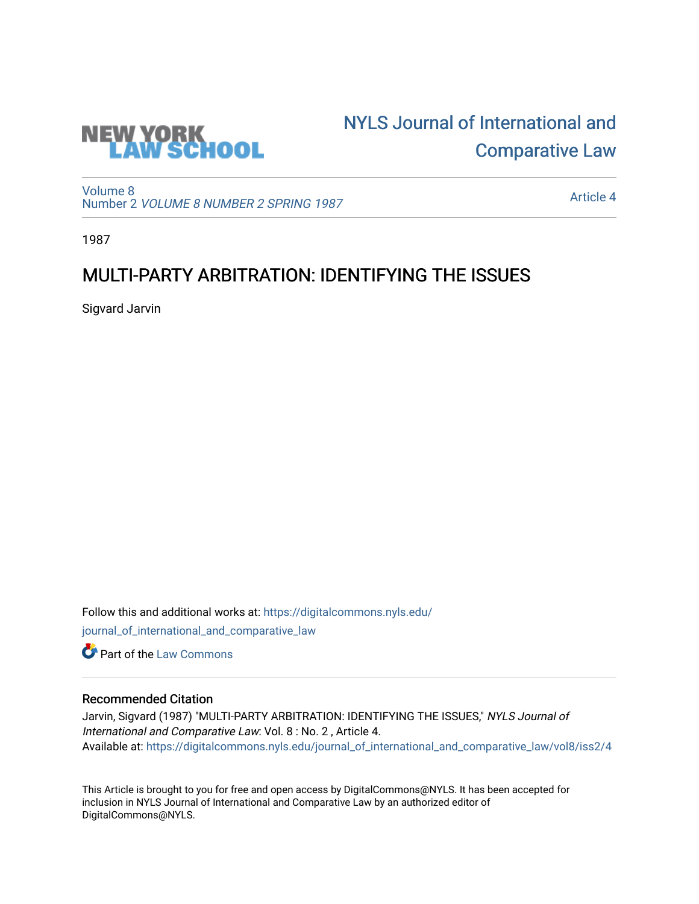

# [NYLS Journal of International and](https://digitalcommons.nyls.edu/journal_of_international_and_comparative_law)  [Comparative Law](https://digitalcommons.nyls.edu/journal_of_international_and_comparative_law)

[Volume 8](https://digitalcommons.nyls.edu/journal_of_international_and_comparative_law/vol8) Number 2 [VOLUME 8 NUMBER 2 SPRING 1987](https://digitalcommons.nyls.edu/journal_of_international_and_comparative_law/vol8/iss2) 

[Article 4](https://digitalcommons.nyls.edu/journal_of_international_and_comparative_law/vol8/iss2/4) 

1987

# MULTI-PARTY ARBITRATION: IDENTIFYING THE ISSUES

Sigvard Jarvin

Follow this and additional works at: [https://digitalcommons.nyls.edu/](https://digitalcommons.nyls.edu/journal_of_international_and_comparative_law?utm_source=digitalcommons.nyls.edu%2Fjournal_of_international_and_comparative_law%2Fvol8%2Fiss2%2F4&utm_medium=PDF&utm_campaign=PDFCoverPages) [journal\\_of\\_international\\_and\\_comparative\\_law](https://digitalcommons.nyls.edu/journal_of_international_and_comparative_law?utm_source=digitalcommons.nyls.edu%2Fjournal_of_international_and_comparative_law%2Fvol8%2Fiss2%2F4&utm_medium=PDF&utm_campaign=PDFCoverPages)  **C** Part of the [Law Commons](http://network.bepress.com/hgg/discipline/578?utm_source=digitalcommons.nyls.edu%2Fjournal_of_international_and_comparative_law%2Fvol8%2Fiss2%2F4&utm_medium=PDF&utm_campaign=PDFCoverPages)

# Recommended Citation

Jarvin, Sigvard (1987) "MULTI-PARTY ARBITRATION: IDENTIFYING THE ISSUES," NYLS Journal of International and Comparative Law: Vol. 8 : No. 2 , Article 4. Available at: [https://digitalcommons.nyls.edu/journal\\_of\\_international\\_and\\_comparative\\_law/vol8/iss2/4](https://digitalcommons.nyls.edu/journal_of_international_and_comparative_law/vol8/iss2/4?utm_source=digitalcommons.nyls.edu%2Fjournal_of_international_and_comparative_law%2Fvol8%2Fiss2%2F4&utm_medium=PDF&utm_campaign=PDFCoverPages) 

This Article is brought to you for free and open access by DigitalCommons@NYLS. It has been accepted for inclusion in NYLS Journal of International and Comparative Law by an authorized editor of DigitalCommons@NYLS.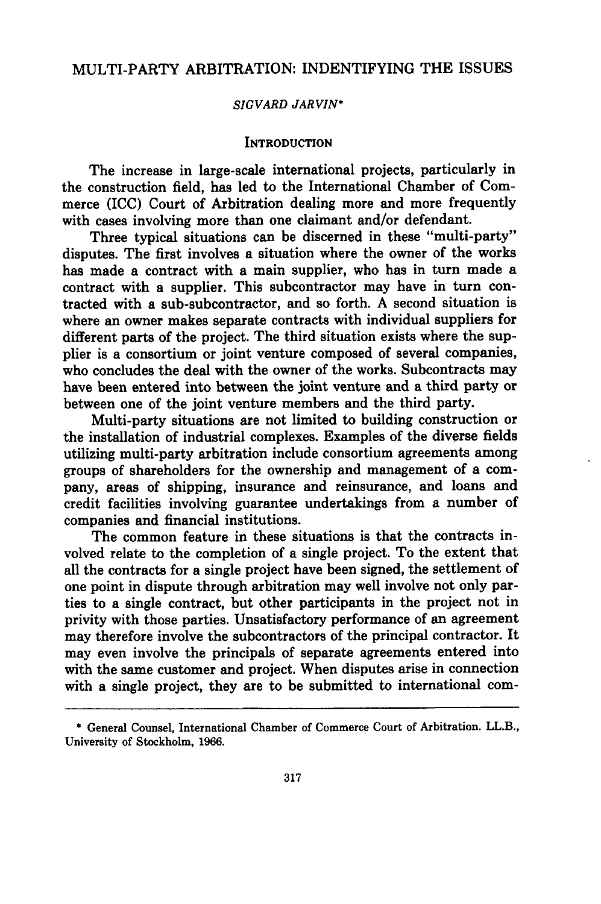# MULTI-PARTY ARBITRATION: INDENTIFYING THE ISSUES

#### *SIGVARD JARVIN\**

#### **INTRODUCTION**

The increase in large-scale international projects, particularly in the construction field, has led to the International Chamber of Commerce (ICC) Court of Arbitration dealing more and more frequently with cases involving more than one claimant and/or defendant.

Three typical situations can be discerned in these "multi-party" disputes. The first involves a situation where the owner of the works has made a contract with a main supplier, who has in turn made a contract with a supplier. This subcontractor may have in turn contracted with a sub-subcontractor, and so forth. A second situation is where an owner makes separate contracts with individual suppliers for different parts of the project. The third situation exists where the supplier is a consortium or joint venture composed of several companies, who concludes the deal with the owner of the works. Subcontracts may have been entered into between the joint venture and a third party or between one of the joint venture members and the third party.

Multi-party situations are not limited to building construction or the installation of industrial complexes. Examples of the diverse fields utilizing multi-party arbitration include consortium agreements among groups of shareholders for the ownership and management of a company, areas of shipping, insurance and reinsurance, and loans and credit facilities involving guarantee undertakings from a number of companies and financial institutions.

The common feature in these situations is that the contracts involved relate to the completion of a single project. To the extent that all the contracts for a single project have been signed, the settlement of one point in dispute through arbitration may well involve not only parties to a single contract, but other participants in the project not in privity with those parties. Unsatisfactory performance of an agreement may therefore involve the subcontractors of the principal contractor. It may even involve the principals of separate agreements entered into with the same customer and project. When disputes arise in connection with a single project, they are to be submitted to international com-

<sup>\*</sup> General Counsel, International Chamber of Commerce Court of Arbitration. LL.B., University of Stockholm, 1966.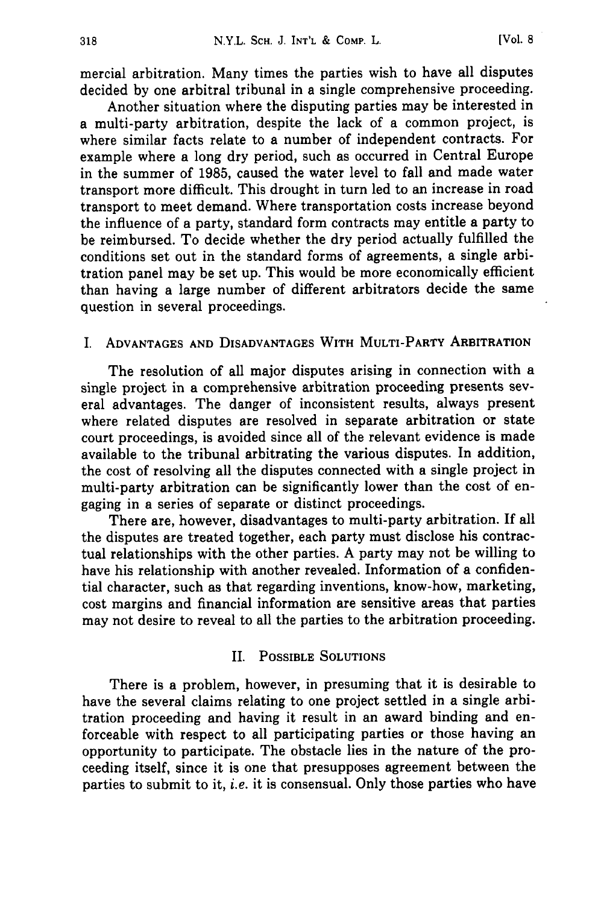mercial arbitration. Many times the parties wish to have all disputes decided by one arbitral tribunal in a single comprehensive proceeding.

Another situation where the disputing parties may be interested in a multi-party arbitration, despite the lack of a common project, is where similar facts relate to a number of independent contracts. For example where a long dry period, such as occurred in Central Europe in the summer of 1985, caused the water level to fall and made water transport more difficult. This drought in turn led to an increase in road transport to meet demand. Where transportation costs increase beyond the influence of a party, standard form contracts may entitle a party to be reimbursed. To decide whether the dry period actually fulfilled the conditions set out in the standard forms of agreements, a single arbitration panel may be set up. This would be more economically efficient than having a large number of different arbitrators decide the same question in several proceedings.

# **I. ADVANTAGES AND DISADVANTAGES** WITH MULTI-PARTY ARBITRATION

The resolution of all major disputes arising in connection with a single project in a comprehensive arbitration proceeding presents several advantages. The danger of inconsistent results, always present where related disputes are resolved in separate arbitration or state court proceedings, is avoided since all of the relevant evidence is made available to the tribunal arbitrating the various disputes. In addition, the cost of resolving all the disputes connected with a single project in multi-party arbitration can be significantly lower than the cost of engaging in a series of separate or distinct proceedings.

There are, however, disadvantages to multi-party arbitration. If all the disputes are treated together, each party must disclose his contractual relationships with the other parties. **A** party may not be willing to have his relationship with another revealed. Information of a confidential character, such as that regarding inventions, know-how, marketing, cost margins and financial information are sensitive areas that parties may not desire to reveal to all the parties to the arbitration proceeding.

# II. **POSSIBLE SOLUTIONS**

There is a problem, however, in presuming that it is desirable to have the several claims relating to one project settled in a single arbitration proceeding and having it result in an award binding and enforceable with respect to all participating parties or those having an opportunity to participate. The obstacle lies in the nature of the proceeding itself, since it is one that presupposes agreement between the parties to submit to it, *i.e.* it is consensual. Only those parties who have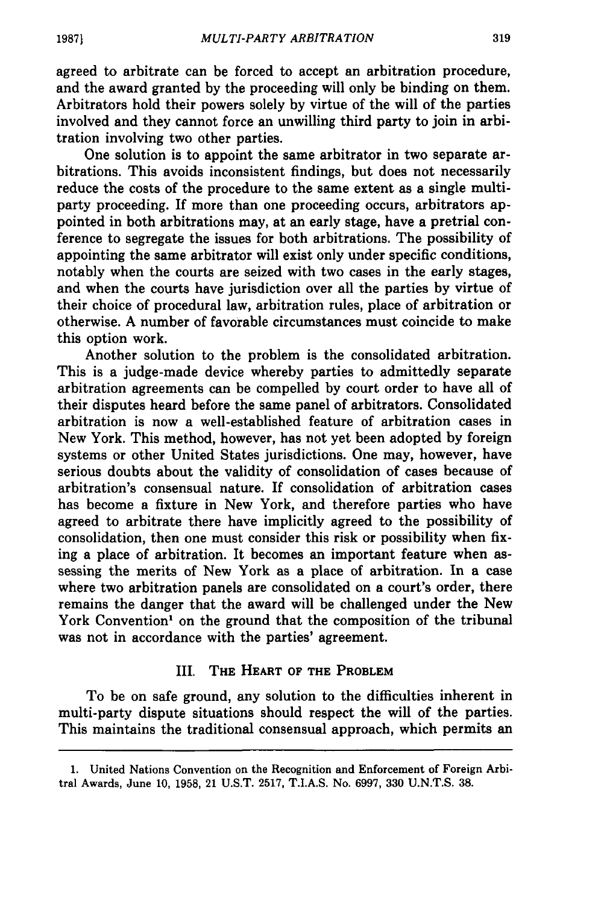agreed to arbitrate can be forced to accept an arbitration procedure, and the award granted by the proceeding will only be binding on them. Arbitrators hold their powers solely by virtue of the will of the parties involved and they cannot force an unwilling third party to join in arbitration involving two other parties.

One solution is to appoint the same arbitrator in two separate arbitrations. This avoids inconsistent findings, but does not necessarily reduce the costs of the procedure to the same extent as a single multiparty proceeding. If more than one proceeding occurs, arbitrators appointed in both arbitrations may, at an early stage, have a pretrial conference to segregate the issues for both arbitrations. The possibility of appointing the same arbitrator will exist only under specific conditions, notably when the courts are seized with two cases in the early stages, and when the courts have jurisdiction over all the parties by virtue of their choice of procedural law, arbitration rules, place of arbitration or otherwise. A number of favorable circumstances must coincide to make this option work.

Another solution to the problem is the consolidated arbitration. This is a judge-made device whereby parties to admittedly separate arbitration agreements can be compelled by court order to have all of their disputes heard before the same panel of arbitrators. Consolidated arbitration is now a well-established feature of arbitration cases in New York. This method, however, has not yet been adopted by foreign systems or other United States jurisdictions. One may, however, have serious doubts about the validity of consolidation of cases because of arbitration's consensual nature. If consolidation of arbitration cases has become a fixture in New York, and therefore parties who have agreed to arbitrate there have implicitly agreed to the possibility of consolidation, then one must consider this risk or possibility when fixing a place of arbitration. It becomes an important feature when assessing the merits of New York as a place of arbitration. In a case where two arbitration panels are consolidated on a court's order, there remains the danger that the award will be challenged under the New York Convention' on the ground that the composition of the tribunal was not in accordance with the parties' agreement.

# III. **THE HEART OF THE PROBLEM**

To be on safe ground, any solution to the difficulties inherent in multi-party dispute situations should respect the will of the parties. This maintains the traditional consensual approach, which permits an

**<sup>1.</sup>** United Nations Convention on the Recognition and Enforcement of Foreign Arbitral Awards, June **10, 1958,** 21 **U.S.T. 2517,** T.I.A.S. No. **6997, 330 U.N.T.S. 38.**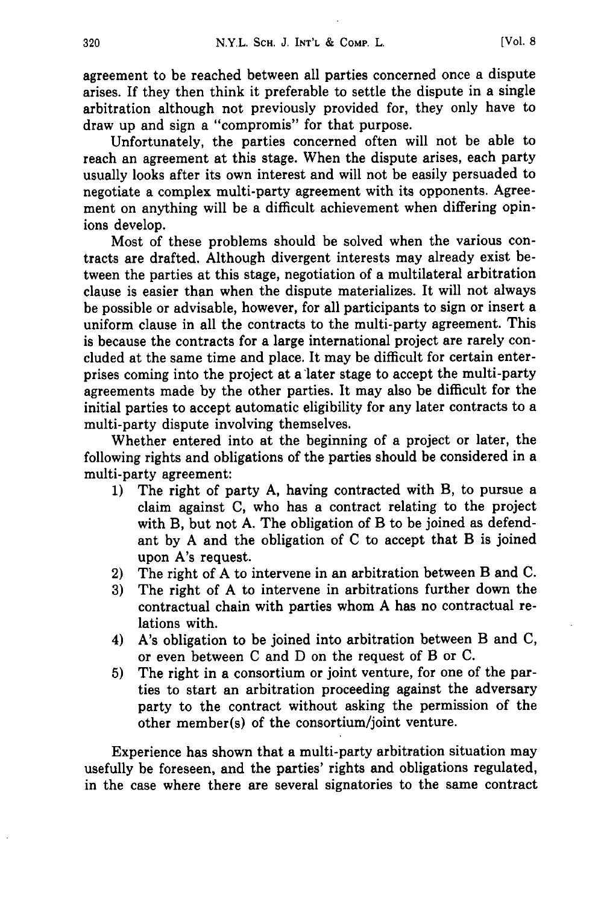agreement to be reached between all parties concerned once a dispute arises. **If** they then think it preferable to settle the dispute in a single arbitration although not previously provided for, they only have to draw up and sign a "compromis" for that purpose.

Unfortunately, the parties concerned often will not be able to reach an agreement at this stage. When the dispute arises, each party usually looks after its own interest and will not be easily persuaded to negotiate a complex multi-party agreement with its opponents. Agreement on anything will be a difficult achievement when differing opinions develop.

Most of these problems should be solved when the various contracts are drafted. Although divergent interests may already exist between the parties at this stage, negotiation of a multilateral arbitration clause is easier than when the dispute materializes. It will not always be possible or advisable, however, for all participants to sign or insert a uniform clause in all the contracts to the multi-party agreement. This is because the contracts for a large international project are rarely concluded at the same time and place. It may be difficult for certain enterprises coming into the project at a later stage to accept the multi-party agreements made **by** the other parties. It may also be difficult for the initial parties to accept automatic eligibility for any later contracts to a multi-party dispute involving themselves.

Whether entered into at the beginning of a project or later, the following rights and obligations of the parties should be considered in a multi-party agreement:

- **1)** The right of party **A,** having contracted with B, to pursue a claim against **C,** who has a contract relating to the project with B, but not **A.** The obligation of B to be joined as defendant **by A** and the obligation of **C** to accept that B is joined upon A's request.
- 2) The right of **A** to intervene in an arbitration between B and **C.**
- **3)** The right of **A** to intervene in arbitrations further down the contractual chain with parties whom **A** has no contractual relations with.
- 4) A's obligation to be joined into arbitration between B and **C,** or even between **C** and **D** on the request of B or **C.**
- **5)** The right in a consortium or joint venture, for one of the parties to start an arbitration proceeding against the adversary party to the contract without asking the permission of the other member(s) of the consortium/joint venture.

Experience has shown that a multi-party arbitration situation may usefully be foreseen, and the parties' rights and obligations regulated, in the case where there are several signatories to the same contract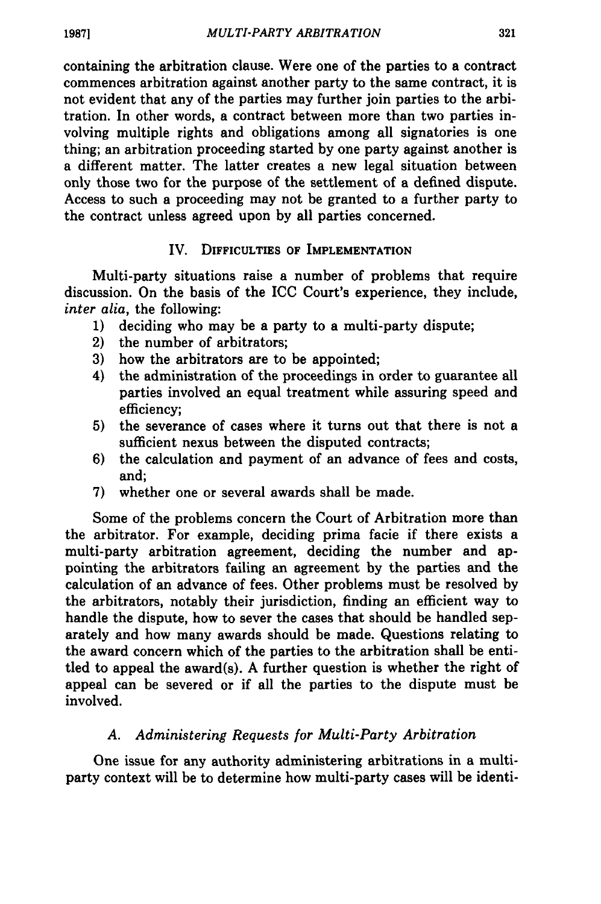containing the arbitration clause. Were one of the parties to a contract commences arbitration against another party to the same contract, it is not evident that any of the parties may further join parties to the arbitration. In other words, a contract between more than two parties involving multiple rights and obligations among all signatories is one thing; an arbitration proceeding started by one party against another is a different matter. The latter creates a new legal situation between only those two for the purpose of the settlement of a defined dispute. Access to such a proceeding may not be granted to a further party to the contract unless agreed upon by all parties concerned.

# IV. **DIFFICULTIES OF IMPLEMENTATION**

Multi-party situations raise a number of problems that require discussion. On the basis of the ICC Court's experience, they include, *inter alia,* the following:

- 1) deciding who may be a party to a multi-party dispute;
- 2) the number of arbitrators;
- **3)** how the arbitrators are to be appointed;
- 4) the administration of the proceedings in order to guarantee all parties involved an equal treatment while assuring speed and efficiency;
- 5) the severance of cases where it turns out that there is not a sufficient nexus between the disputed contracts;
- 6) the calculation and payment of an advance of fees and costs, and;
- 7) whether one or several awards shall be made.

Some of the problems concern the Court of Arbitration more than the arbitrator. For example, deciding prima facie if there exists a multi-party arbitration agreement, deciding the number and appointing the arbitrators failing an agreement **by** the parties and the calculation of an advance of fees. Other problems must be resolved by the arbitrators, notably their jurisdiction, finding an efficient way to handle the dispute, how to sever the cases that should be handled separately and how many awards should be made. Questions relating to the award concern which of the parties to the arbitration shall be entitled to appeal the award(s). A further question is whether the right of appeal can be severed or if all the parties to the dispute must be involved.

# *A. Administering Requests for Multi-Party Arbitration*

One issue for any authority administering arbitrations in a multiparty context will be to determine how multi-party cases will be identi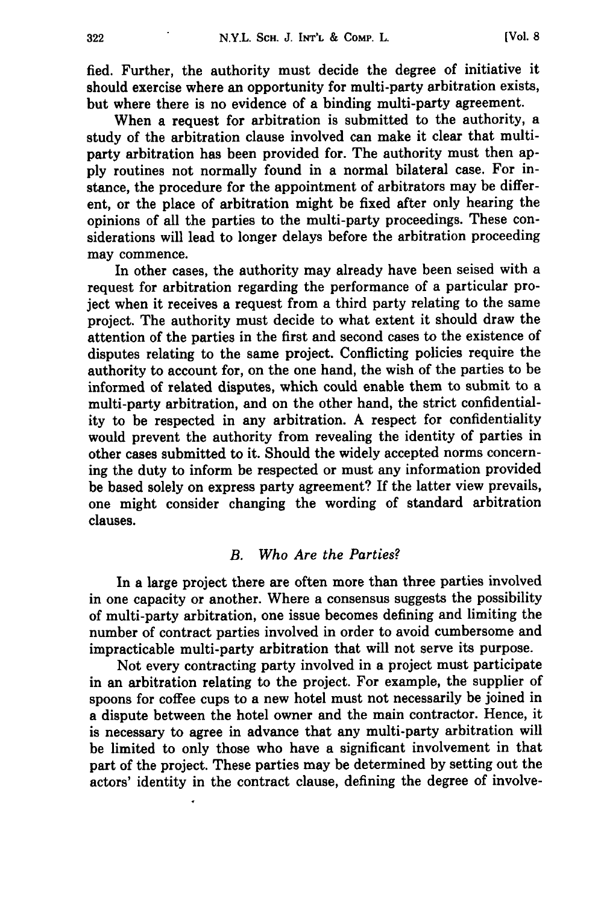**fled.** Further, the authority must decide the degree of initiative it should exercise where an opportunity for multi-party arbitration exists, but where there is no evidence of a binding multi-party agreement.

When a request for arbitration is submitted to the authority, a study of the arbitration clause involved can make it clear that multiparty arbitration has been provided for. The authority must then ap**ply** routines not normally found in a normal bilateral case. For instance, the procedure for the appointment of arbitrators may be different, or the place of arbitration might be fixed after only hearing the opinions of all the parties to the multi-party proceedings. These considerations will lead to longer delays before the arbitration proceeding may commence.

In other cases, the authority may already have been seised with a request for arbitration regarding the performance of a particular project when it receives a request from a third party relating to the same project. The authority must decide to what extent it should draw the attention of the parties in the first and second cases to the existence of disputes relating to the same project. Conflicting policies require the authority to account for, on the one hand, the wish of the parties to be informed of related disputes, which could enable them to submit to a multi-party arbitration, and on the other hand, the strict confidentiality to be respected in any arbitration. A respect for confidentiality would prevent the authority from revealing the identity of parties in other cases submitted to it. Should the widely accepted norms concerning the duty to inform be respected or must any information provided be based solely on express party agreement? If the latter view prevails, one might consider changing the wording of standard arbitration clauses.

#### *B. Who Are the Parties?*

In a large project there are often more than three parties involved in one capacity or another. Where a consensus suggests the possibility of multi-party arbitration, one issue becomes defining and limiting the number of contract parties involved in order to avoid cumbersome and impracticable multi-party arbitration that will not serve its purpose.

Not every contracting party involved in a project must participate in an arbitration relating to the project. For example, the supplier of spoons for coffee cups to a new hotel must not necessarily be joined in a dispute between the hotel owner and the main contractor. Hence, it is necessary to agree in advance that any multi-party arbitration will be limited to only those who have a significant involvement in that part of the project. These parties may be determined by setting out the actors' identity in the contract clause, defining the degree of involve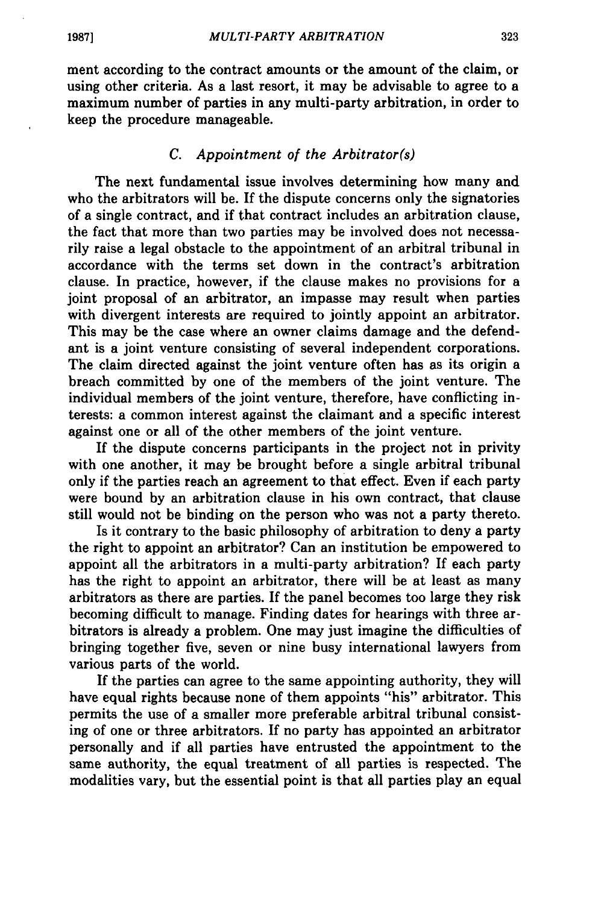ment according to the contract amounts or the amount of the claim, or using other criteria. As a last resort, it may be advisable to agree to a maximum number of parties in any multi-party arbitration, in order to keep the procedure manageable.

### *C. Appointment of the Arbitrator(s)*

The next fundamental issue involves determining how many and who the arbitrators will be. If the dispute concerns only the signatories of a single contract, and if that contract includes an arbitration clause, the fact that more than two parties may be involved does not necessarily raise a legal obstacle to the appointment of an arbitral tribunal in accordance with the terms set down in the contract's arbitration clause. In practice, however, if the clause makes no provisions for a joint proposal of an arbitrator, an impasse may result when parties with divergent interests are required to jointly appoint an arbitrator. This may be the case where an owner claims damage and the defendant is a joint venture consisting of several independent corporations. The claim directed against the joint venture often has as its origin a breach committed **by** one of the members of the joint venture. The individual members of the joint venture, therefore, have conflicting interests: a common interest against the claimant and a specific interest against one or all of the other members of the joint venture.

**If** the dispute concerns participants in the project not in privity with one another, it may be brought before a single arbitral tribunal only if the parties reach an agreement to that effect. Even if each party were bound **by** an arbitration clause in his own contract, that clause still would not be binding on the person who was not a party thereto.

Is it contrary to the basic philosophy of arbitration to deny a party the right to appoint an arbitrator? Can an institution be empowered to appoint all the arbitrators in a multi-party arbitration? If each party has the right to appoint an arbitrator, there will be at least as many arbitrators as there are parties. **If** the panel becomes too large they risk becoming difficult to manage. Finding dates for hearings with three arbitrators is already a problem. One may just imagine the difficulties of bringing together five, seven or nine busy international lawyers from various parts of the world.

**If** the parties can agree to the same appointing authority, they will have equal rights because none of them appoints "his" arbitrator. This permits the use of a smaller more preferable arbitral tribunal consisting of one or three arbitrators. **If** no party has appointed an arbitrator personally and if all parties have entrusted the appointment to the same authority, the equal treatment of all parties is respected. The modalities vary, but the essential point is that all parties play an equal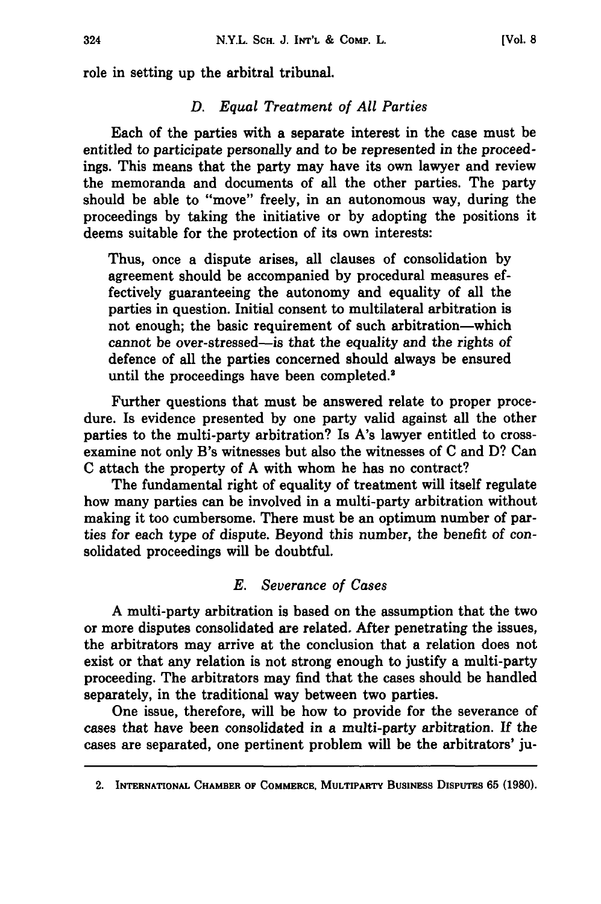role in setting up the arbitral tribunal.

# *D. Equal Treatment of All Parties*

Each of the parties with a separate interest in the case must be entitled to participate personally and to be represented in the proceedings. This means that the party may have its own lawyer and review the memoranda and documents of all the other parties. The party should be able to "move" freely, in an autonomous way, during the proceedings **by** taking the initiative or **by** adopting the positions it deems suitable for the protection of its own interests:

Thus, once a dispute arises, all clauses of consolidation **by** agreement should be accompanied **by** procedural measures effectively guaranteeing the autonomy and equality of all the parties in question. Initial consent to multilateral arbitration is not enough; the basic requirement of such arbitration-which cannot be over-stressed-is that the equality and the rights of defence of all the parties concerned should always be ensured until the proceedings have been completed.<sup>2</sup>

Further questions that must be answered relate to proper procedure. Is evidence presented **by** one party valid against all the other parties to the multi-party arbitration? Is A's lawyer entitled to crossexamine not only B's witnesses but also the witnesses of **C** and **D?** Can **C** attach the property of **A** with whom he has no contract?

The fundamental right of equality of treatment will itself regulate how many parties can be involved in a multi-party arbitration without making it too cumbersome. There must be an optimum number of parties for each type of dispute. Beyond this number, the benefit of consolidated proceedings will be doubtful.

# *E. Severance of Cases*

**A** multi-party arbitration is based on the assumption that the two or more disputes consolidated are related. After penetrating the issues, the arbitrators may arrive at the conclusion that a relation does not exist or that any relation is not strong enough to justify a multi-party proceeding. The arbitrators may find that the cases should be handled separately, in the traditional way between two parties.

One issue, therefore, will be how to provide for the severance of cases that have been consolidated in a multi-party arbitration. **If** the cases are separated, one pertinent problem will be the arbitrators' ju-

<sup>2.</sup> **INTERNATIONAL CHAMBER OF COMMERCE, MULTIPARTY BUSINESS DIsPUTEs 65 (1980).**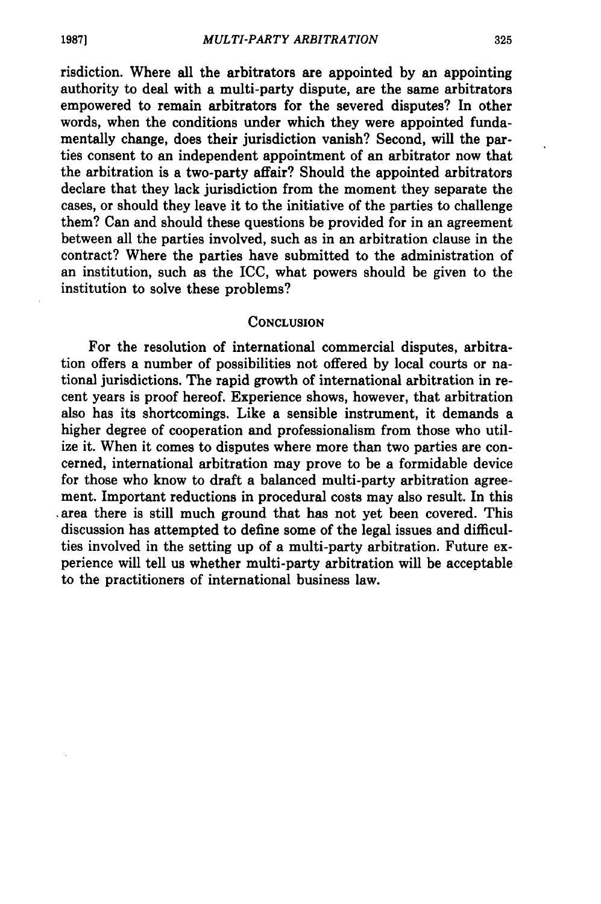risdiction. Where all the arbitrators are appointed **by** an appointing authority to deal with a multi-party dispute, are the same arbitrators empowered to remain arbitrators for the severed disputes? In other words, when the conditions under which they were appointed fundamentally change, does their jurisdiction vanish? Second, will the parties consent to an independent appointment of an arbitrator now that the arbitration is a two-party affair? Should the appointed arbitrators declare that they lack jurisdiction from the moment they separate the cases, or should they leave it to the initiative of the parties to challenge them? Can and should these questions be provided for in an agreement between all the parties involved, such as in an arbitration clause in the contract? Where the parties have submitted to the administration of an institution, such as the ICC, what powers should be given to the institution to solve these problems?

#### **CONCLUSION**

For the resolution of international commercial disputes, arbitration offers a number of possibilities not offered **by** local courts or national jurisdictions. The rapid growth of international arbitration in recent years is proof hereof. Experience shows, however, that arbitration also has its shortcomings. Like a sensible instrument, it demands a higher degree of cooperation and professionalism from those who utilize it. When it comes to disputes where more than two parties are concerned, international arbitration may prove to be a formidable device for those who know to draft a balanced multi-party arbitration agreement. Important reductions in procedural costs may also result. In this .area there is still much ground that has not yet been covered. This discussion has attempted to define some of the legal issues and difficulties involved in the setting up of a multi-party arbitration. Future experience will tell us whether multi-party arbitration will be acceptable to the practitioners of international business law.

325